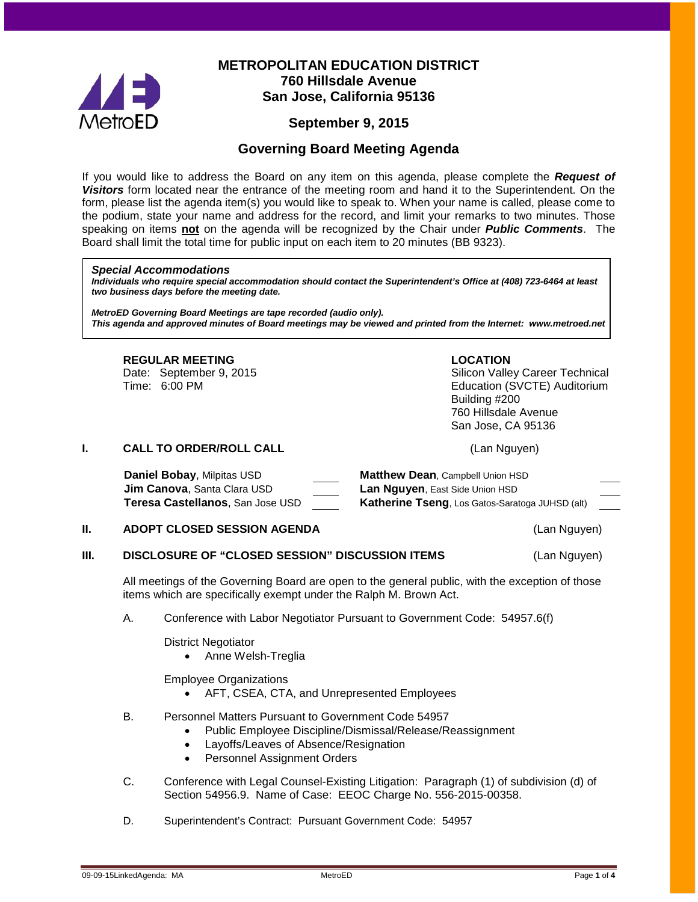

# **METROPOLITAN EDUCATION DISTRICT 760 Hillsdale Avenue San Jose, California 95136**

# **September 9, 2015**

## **Governing Board Meeting Agenda**

If you would like to address the Board on any item on this agenda, please complete the *Request of Visitors* form located near the entrance of the meeting room and hand it to the Superintendent. On the form, please list the agenda item(s) you would like to speak to. When your name is called, please come to the podium, state your name and address for the record, and limit your remarks to two minutes. Those speaking on items **not** on the agenda will be recognized by the Chair under *Public Comments*. The Board shall limit the total time for public input on each item to 20 minutes (BB 9323).

#### *Special Accommodations*

*Individuals who require special accommodation should contact the Superintendent's Office at (408) 723-6464 at least two business days before the meeting date.*

*MetroED Governing Board Meetings are tape recorded (audio only). This agenda and approved minutes of Board meetings may be viewed and printed from the Internet: www.metroed.net*

#### **REGULAR MEETING LOCATION**

Date: September 9, 2015 Silicon Valley Career Technical Time: 6:00 PM Education (SVCTE) Auditorium Building #200 760 Hillsdale Avenue San Jose, CA 95136

**I. CALL TO ORDER/ROLL CALL CALL CALL** (Lan Nguyen)

| <b>Daniel Bobay, Milpitas USD</b>  | <b>Matthew Dean, Campbell Union HSD</b>                |
|------------------------------------|--------------------------------------------------------|
| <b>Jim Canova, Santa Clara USD</b> | <b>Lan Nguyen, East Side Union HSD</b>                 |
| Teresa Castellanos, San Jose USD   | <b>Katherine Tseng, Los Gatos-Saratoga JUHSD (alt)</b> |

#### **II. ADOPT CLOSED SESSION AGENDA** (Lan Nguyen)

**III. DISCLOSURE OF "CLOSED SESSION" DISCUSSION ITEMS** (Lan Nguyen)

All meetings of the Governing Board are open to the general public, with the exception of those items which are specifically exempt under the Ralph M. Brown Act.

A. Conference with Labor Negotiator Pursuant to Government Code: 54957.6(f)

District Negotiator

• Anne Welsh-Treglia

Employee Organizations

- AFT, CSEA, CTA, and Unrepresented Employees
- B. Personnel Matters Pursuant to Government Code 54957
	- Public Employee Discipline/Dismissal/Release/Reassignment
	- Layoffs/Leaves of Absence/Resignation
	- Personnel Assignment Orders
- C. Conference with Legal Counsel-Existing Litigation: Paragraph (1) of subdivision (d) of Section 54956.9. Name of Case: EEOC Charge No. 556-2015-00358.
- D. Superintendent's Contract: Pursuant Government Code: 54957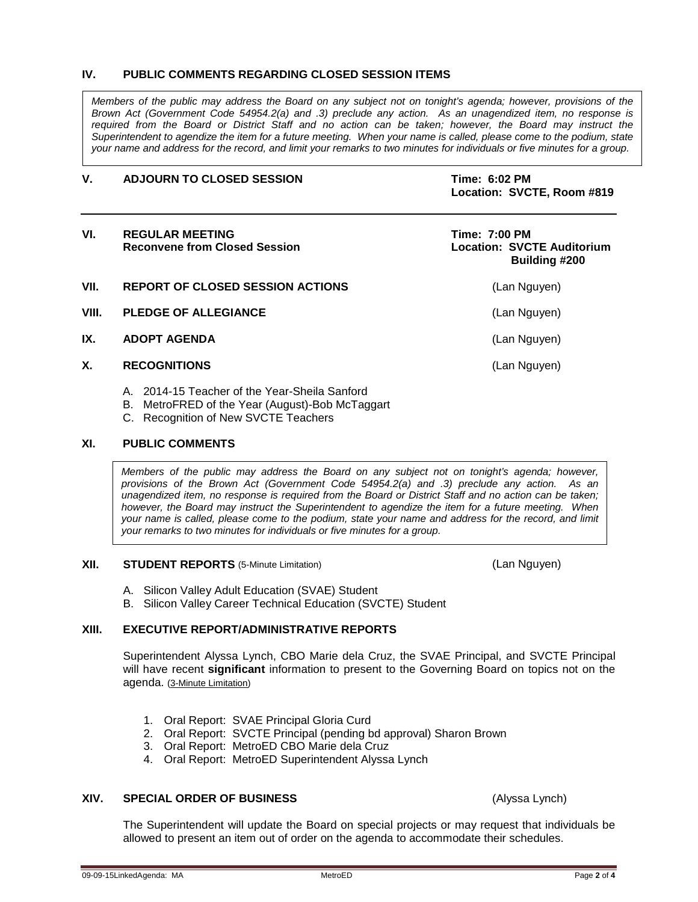#### **IV. PUBLIC COMMENTS REGARDING CLOSED SESSION ITEMS**

*Members of the public may address the Board on any subject not on tonight's agenda; however, provisions of the Brown Act (Government Code 54954.2(a) and .3) preclude any action. As an unagendized item, no response is required from the Board or District Staff and no action can be taken; however, the Board may instruct the Superintendent to agendize the item for a future meeting. When your name is called, please come to the podium, state your name and address for the record, and limit your remarks to two minutes for individuals or five minutes for a group.*

#### **V. ADJOURN TO CLOSED SESSION Time: 6:02 PM**

**Location: SVCTE, Room #819**

| VI.   | <b>REGULAR MEETING</b><br><b>Reconvene from Closed Session</b> | Time: 7:00 PM<br><b>Location: SVCTE Auditorium</b><br>Building #200 |  |
|-------|----------------------------------------------------------------|---------------------------------------------------------------------|--|
| VII.  | <b>REPORT OF CLOSED SESSION ACTIONS</b>                        | (Lan Nguyen)                                                        |  |
| VIII. | <b>PLEDGE OF ALLEGIANCE</b>                                    | (Lan Nguyen)                                                        |  |
| IX.   | <b>ADOPT AGENDA</b>                                            | (Lan Nguyen)                                                        |  |
| Χ.    | <b>RECOGNITIONS</b>                                            | (Lan Nguyen)                                                        |  |

- A. 2014-15 Teacher of the Year-Sheila Sanford
- B. MetroFRED of the Year (August)-Bob McTaggart
- C. Recognition of New SVCTE Teachers

#### **XI. PUBLIC COMMENTS**

*Members of the public may address the Board on any subject not on tonight's agenda; however, provisions of the Brown Act (Government Code 54954.2(a) and .3) preclude any action. As an unagendized item, no response is required from the Board or District Staff and no action can be taken; however, the Board may instruct the Superintendent to agendize the item for a future meeting. When your name is called, please come to the podium, state your name and address for the record, and limit your remarks to two minutes for individuals or five minutes for a group.*

#### **XII. STUDENT REPORTS** (5-Minute Limitation) (Lan Nguyen)

- A. Silicon Valley Adult Education (SVAE) Student
- B. Silicon Valley Career Technical Education (SVCTE) Student

#### **XIII. EXECUTIVE REPORT/ADMINISTRATIVE REPORTS**

Superintendent Alyssa Lynch, CBO Marie dela Cruz, the SVAE Principal, and SVCTE Principal will have recent **significant** information to present to the Governing Board on topics not on the agenda. (3-Minute Limitation)

- 1. Oral Report: SVAE Principal Gloria Curd
- 2. Oral Report: SVCTE Principal (pending bd approval) Sharon Brown
- 3. Oral Report: MetroED CBO Marie dela Cruz
- 4. Oral Report: MetroED Superintendent Alyssa Lynch

#### **XIV. SPECIAL ORDER OF BUSINESS** (Alyssa Lynch)

The Superintendent will update the Board on special projects or may request that individuals be allowed to present an item out of order on the agenda to accommodate their schedules.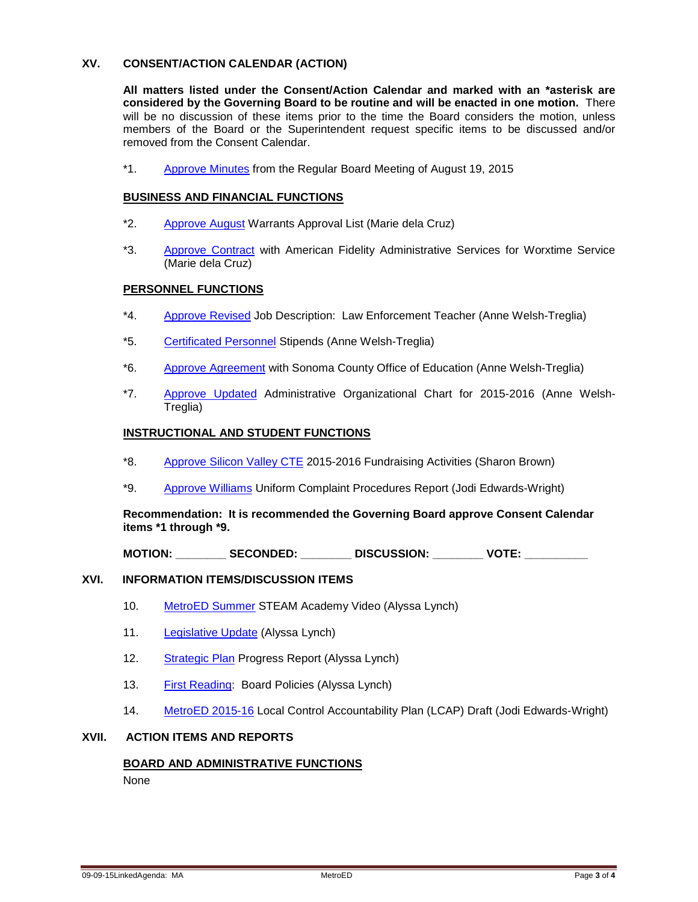### **XV. CONSENT/ACTION CALENDAR (ACTION)**

**All matters listed under the Consent/Action Calendar and marked with an \*asterisk are considered by the Governing Board to be routine and will be enacted in one motion.** There will be no discussion of these items prior to the time the Board considers the motion, unless members of the Board or the Superintendent request specific items to be discussed and/or removed from the Consent Calendar.

\*1. [Approve](http://fbsd.metroed.net/malaimo/Board_Agenda/09-09-15BoardAgenda/08-19-155BoardMinutes.pdf) Minutes from the Regular Board Meeting of August 19, 2015

#### **BUSINESS AND FINANCIAL FUNCTIONS**

- \*2. [Approve](http://fbsd.metroed.net/malaimo/Board_Agenda/09-09-15BoardAgenda/Item2.pdf) August Warrants Approval List (Marie dela Cruz)
- \*3. [Approve Contract](http://fbsd.metroed.net/malaimo/Board_Agenda/09-09-15BoardAgenda/Item3.pdf) with American Fidelity Administrative Services for Worxtime Service (Marie dela Cruz)

#### **PERSONNEL FUNCTIONS**

- \*4. [Approve Revised](http://fbsd.metroed.net/malaimo/Board_Agenda/09-09-15BoardAgenda/Item4.pdf) Job Description: Law Enforcement Teacher (Anne Welsh-Treglia)
- \*5. [Certificated Personnel](http://fbsd.metroed.net/malaimo/Board_Agenda/09-09-15BoardAgenda/Item5.pdf) Stipends (Anne Welsh-Treglia)
- \*6. [Approve Agreement](http://fbsd.metroed.net/malaimo/Board_Agenda/09-09-15BoardAgenda/Item6.pdf) with Sonoma County Office of Education (Anne Welsh-Treglia)
- \*7. [Approve Updated](http://fbsd.metroed.net/malaimo/Board_Agenda/09-09-15BoardAgenda/Item7.pdf) Administrative Organizational Chart for 2015-2016 (Anne Welsh-Treglia)

#### **INSTRUCTIONAL AND STUDENT FUNCTIONS**

- \*8. [Approve Silicon Valley CTE](http://fbsd.metroed.net/malaimo/Board_Agenda/09-09-15BoardAgenda/Item8.pdf) 2015-2016 Fundraising Activities (Sharon Brown)
- \*9. [Approve Williams](http://fbsd.metroed.net/malaimo/Board_Agenda/09-09-15BoardAgenda/Item9.pdf) Uniform Complaint Procedures Report (Jodi Edwards-Wright)

**Recommendation: It is recommended the Governing Board approve Consent Calendar items \*1 through \*9.**

**MOTION: \_\_\_\_\_\_\_\_ SECONDED: \_\_\_\_\_\_\_\_ DISCUSSION: \_\_\_\_\_\_\_\_ VOTE: \_\_\_\_\_\_\_\_\_\_**

#### **XVI. INFORMATION ITEMS/DISCUSSION ITEMS**

- 10. [MetroED Summer](http://fbsd.metroed.net/malaimo/Board_Agenda/09-09-15BoardAgenda/Item10.pdf) STEAM Academy Video (Alyssa Lynch)
- 11. [Legislative Update](http://fbsd.metroed.net/malaimo/Board_Agenda/09-09-15BoardAgenda/Item11.pdf) (Alyssa Lynch)
- 12. [Strategic Plan](http://fbsd.metroed.net/malaimo/Board_Agenda/09-09-15BoardAgenda/Item12.pdf) Progress Report (Alyssa Lynch)
- 13. [First Reading:](http://fbsd.metroed.net/malaimo/Board_Agenda/09-09-15BoardAgenda/Item13.pdf) Board Policies (Alyssa Lynch)
- 14. [MetroED 2015-16](http://fbsd.metroed.net/malaimo/Board_Agenda/09-09-15BoardAgenda/Item14.pdf) Local Control Accountability Plan (LCAP) Draft (Jodi Edwards-Wright)

#### **XVII. ACTION ITEMS AND REPORTS**

### **BOARD AND ADMINISTRATIVE FUNCTIONS**

None